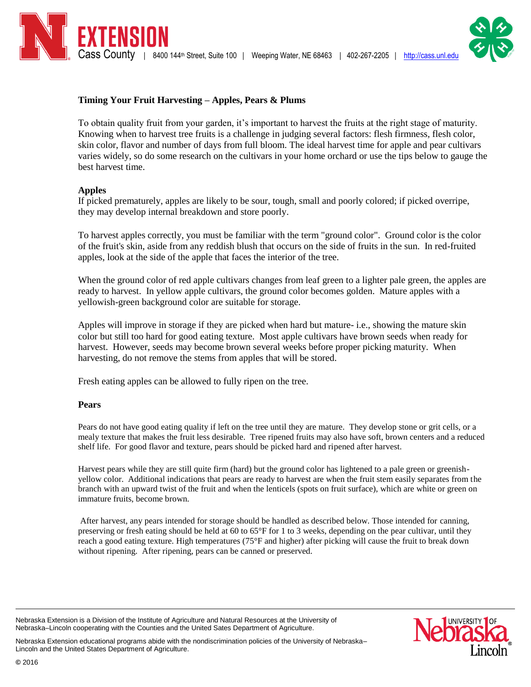

# **Timing Your Fruit Harvesting – Apples, Pears & Plums**

To obtain quality fruit from your garden, it's important to harvest the fruits at the right stage of maturity. Knowing when to harvest tree fruits is a challenge in judging several factors: flesh firmness, flesh color, skin color, flavor and number of days from full bloom. The ideal harvest time for apple and pear cultivars varies widely, so do some research on the cultivars in your home orchard or use the tips below to gauge the best harvest time.

## **Apples**

If picked prematurely, apples are likely to be sour, tough, small and poorly colored; if picked overripe, they may develop internal breakdown and store poorly.

To harvest apples correctly, you must be familiar with the term "ground color". Ground color is the color of the fruit's skin, aside from any reddish blush that occurs on the side of fruits in the sun. In red-fruited apples, look at the side of the apple that faces the interior of the tree.

When the ground color of red apple cultivars changes from leaf green to a lighter pale green, the apples are ready to harvest. In yellow apple cultivars, the ground color becomes golden. Mature apples with a yellowish-green background color are suitable for storage.

Apples will improve in storage if they are picked when hard but mature- i.e., showing the mature skin color but still too hard for good eating texture. Most apple cultivars have brown seeds when ready for harvest. However, seeds may become brown several weeks before proper picking maturity. When harvesting, do not remove the stems from apples that will be stored.

Fresh eating apples can be allowed to fully ripen on the tree.

### **Pears**

Pears do not have good eating quality if left on the tree until they are mature. They develop stone or grit cells, or a mealy texture that makes the fruit less desirable. Tree ripened fruits may also have soft, brown centers and a reduced shelf life. For good flavor and texture, pears should be picked hard and ripened after harvest.

Harvest pears while they are still quite firm (hard) but the ground color has lightened to a pale green or greenishyellow color. Additional indications that pears are ready to harvest are when the fruit stem easily separates from the branch with an upward twist of the fruit and when the lenticels (spots on fruit surface), which are white or green on immature fruits, become brown.

After harvest, any pears intended for storage should be handled as described below. Those intended for canning, preserving or fresh eating should be held at 60 to 65°F for 1 to 3 weeks, depending on the pear cultivar, until they reach a good eating texture. High temperatures (75°F and higher) after picking will cause the fruit to break down without ripening. After ripening, pears can be canned or preserved.

Nebraska Extension is a Division of the Institute of Agriculture and Natural Resources at the University of Nebraska–Lincoln cooperating with the Counties and the United Sates Department of Agriculture.



Nebraska Extension educational programs abide with the nondiscrimination policies of the University of Nebraska– Lincoln and the United States Department of Agriculture.